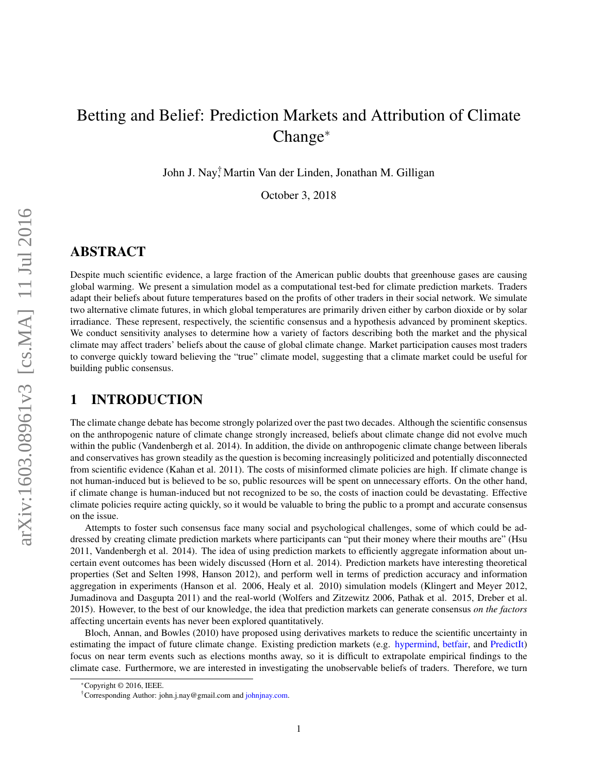# Betting and Belief: Prediction Markets and Attribution of Climate Change<sup>∗</sup>

John J. Nay† , Martin Van der Linden, Jonathan M. Gilligan

October 3, 2018

# ABSTRACT

Despite much scientific evidence, a large fraction of the American public doubts that greenhouse gases are causing global warming. We present a simulation model as a computational test-bed for climate prediction markets. Traders adapt their beliefs about future temperatures based on the profits of other traders in their social network. We simulate two alternative climate futures, in which global temperatures are primarily driven either by carbon dioxide or by solar irradiance. These represent, respectively, the scientific consensus and a hypothesis advanced by prominent skeptics. We conduct sensitivity analyses to determine how a variety of factors describing both the market and the physical climate may affect traders' beliefs about the cause of global climate change. Market participation causes most traders to converge quickly toward believing the "true" climate model, suggesting that a climate market could be useful for building public consensus.

# 1 INTRODUCTION

The climate change debate has become strongly polarized over the past two decades. Although the scientific consensus on the anthropogenic nature of climate change strongly increased, beliefs about climate change did not evolve much within the public [\(Vandenbergh et al. 2014\)](#page-10-0). In addition, the divide on anthropogenic climate change between liberals and conservatives has grown steadily as the question is becoming increasingly politicized and potentially disconnected from scientific evidence [\(Kahan et al. 2011\)](#page-10-1). The costs of misinformed climate policies are high. If climate change is not human-induced but is believed to be so, public resources will be spent on unnecessary efforts. On the other hand, if climate change is human-induced but not recognized to be so, the costs of inaction could be devastating. Effective climate policies require acting quickly, so it would be valuable to bring the public to a prompt and accurate consensus on the issue.

Attempts to foster such consensus face many social and psychological challenges, some of which could be addressed by creating climate prediction markets where participants can "put their money where their mouths are" [\(Hsu](#page-9-0) [2011,](#page-9-0) [Vandenbergh et al. 2014\)](#page-10-0). The idea of using prediction markets to efficiently aggregate information about uncertain event outcomes has been widely discussed [\(Horn et al. 2014\)](#page-9-1). Prediction markets have interesting theoretical properties [\(Set and Selten 1998,](#page-10-2) [Hanson 2012\)](#page-9-2), and perform well in terms of prediction accuracy and information aggregation in experiments [\(Hanson et al. 2006,](#page-9-3) [Healy et al. 2010\)](#page-9-4) simulation models [\(Klingert and Meyer 2012,](#page-10-3) [Jumadinova and Dasgupta 2011\)](#page-9-5) and the real-world [\(Wolfers and Zitzewitz 2006,](#page-10-4) [Pathak et al. 2015,](#page-10-5) [Dreber et al.](#page-9-6) [2015\)](#page-9-6). However, to the best of our knowledge, the idea that prediction markets can generate consensus *on the factors* affecting uncertain events has never been explored quantitatively.

[Bloch, Annan, and Bowles \(2010\)](#page-9-7) have proposed using derivatives markets to reduce the scientific uncertainty in estimating the impact of future climate change. Existing prediction markets (e.g. [hypermind,](https://hypermind.com/hypermind/app.html) [betfair,](https://www.betfair.com/exchange/) and [PredictIt\)](https://www.predictit.org/) focus on near term events such as elections months away, so it is difficult to extrapolate empirical findings to the climate case. Furthermore, we are interested in investigating the unobservable beliefs of traders. Therefore, we turn

<sup>∗</sup>Copyright © 2016, IEEE.

<sup>†</sup>Corresponding Author: john.j.nay@gmail.com and [johnjnay.com.](http://johnjnay.com/)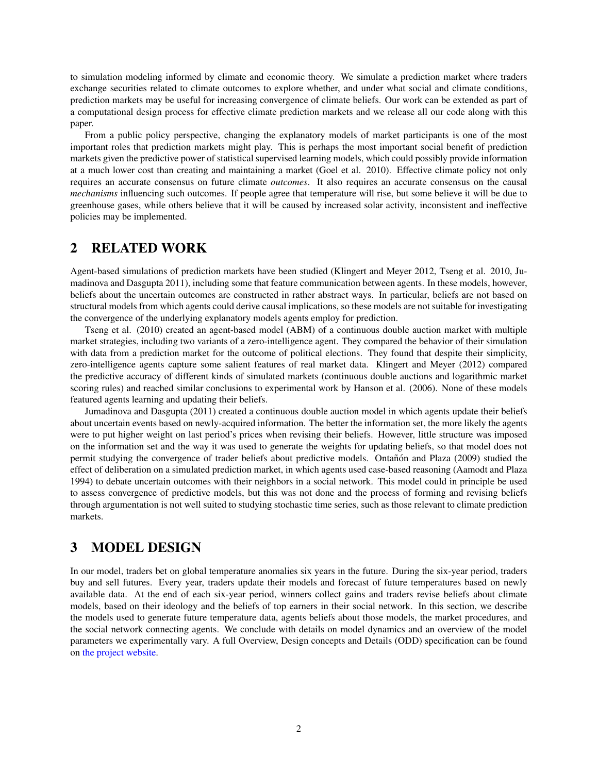to simulation modeling informed by climate and economic theory. We simulate a prediction market where traders exchange securities related to climate outcomes to explore whether, and under what social and climate conditions, prediction markets may be useful for increasing convergence of climate beliefs. Our work can be extended as part of a computational design process for effective climate prediction markets and we release all our code along with this paper.

From a public policy perspective, changing the explanatory models of market participants is one of the most important roles that prediction markets might play. This is perhaps the most important social benefit of prediction markets given the predictive power of statistical supervised learning models, which could possibly provide information at a much lower cost than creating and maintaining a market [\(Goel et al. 2010\)](#page-9-8). Effective climate policy not only requires an accurate consensus on future climate *outcomes*. It also requires an accurate consensus on the causal *mechanisms* influencing such outcomes. If people agree that temperature will rise, but some believe it will be due to greenhouse gases, while others believe that it will be caused by increased solar activity, inconsistent and ineffective policies may be implemented.

# 2 RELATED WORK

Agent-based simulations of prediction markets have been studied [\(Klingert and Meyer 2012,](#page-10-3) [Tseng et al. 2010,](#page-10-6) [Ju](#page-9-5)[madinova and Dasgupta 2011\)](#page-9-5), including some that feature communication between agents. In these models, however, beliefs about the uncertain outcomes are constructed in rather abstract ways. In particular, beliefs are not based on structural models from which agents could derive causal implications, so these models are not suitable for investigating the convergence of the underlying explanatory models agents employ for prediction.

[Tseng et al. \(2010\)](#page-10-6) created an agent-based model (ABM) of a continuous double auction market with multiple market strategies, including two variants of a zero-intelligence agent. They compared the behavior of their simulation with data from a prediction market for the outcome of political elections. They found that despite their simplicity, zero-intelligence agents capture some salient features of real market data. [Klingert and Meyer \(2012\)](#page-10-3) compared the predictive accuracy of different kinds of simulated markets (continuous double auctions and logarithmic market scoring rules) and reached similar conclusions to experimental work by [Hanson et al. \(2006\).](#page-9-3) None of these models featured agents learning and updating their beliefs.

[Jumadinova and Dasgupta \(2011\)](#page-9-5) created a continuous double auction model in which agents update their beliefs about uncertain events based on newly-acquired information. The better the information set, the more likely the agents were to put higher weight on last period's prices when revising their beliefs. However, little structure was imposed on the information set and the way it was used to generate the weights for updating beliefs, so that model does not permit studying the convergence of trader beliefs about predictive models. Ontañón and Plaza (2009) studied the effect of deliberation on a simulated prediction market, in which agents used case-based reasoning [\(Aamodt and Plaza](#page-9-9) [1994\)](#page-9-9) to debate uncertain outcomes with their neighbors in a social network. This model could in principle be used to assess convergence of predictive models, but this was not done and the process of forming and revising beliefs through argumentation is not well suited to studying stochastic time series, such as those relevant to climate prediction markets.

# 3 MODEL DESIGN

In our model, traders bet on global temperature anomalies six years in the future. During the six-year period, traders buy and sell futures. Every year, traders update their models and forecast of future temperatures based on newly available data. At the end of each six-year period, winners collect gains and traders revise beliefs about climate models, based on their ideology and the beliefs of top earners in their social network. In this section, we describe the models used to generate future temperature data, agents beliefs about those models, the market procedures, and the social network connecting agents. We conclude with details on model dynamics and an overview of the model parameters we experimentally vary. A full Overview, Design concepts and Details (ODD) specification can be found on [the project website.](https://github.com/JohnNay/predMarket)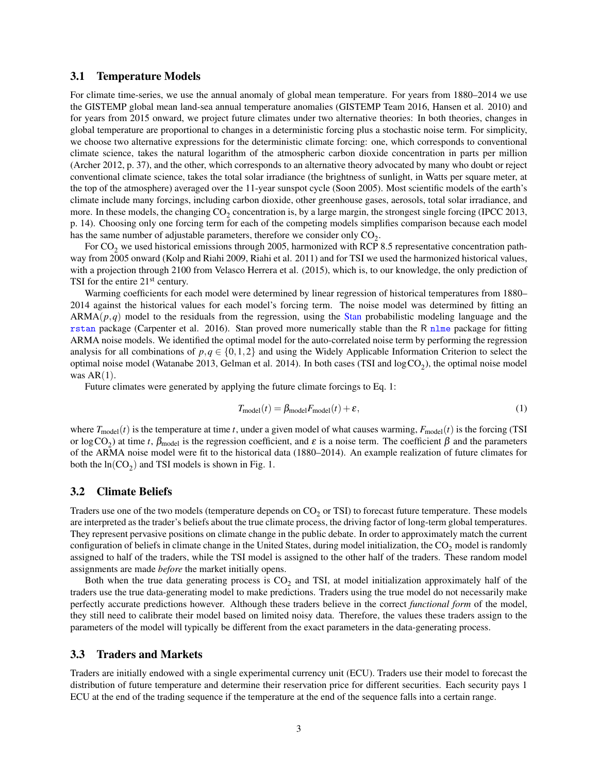#### 3.1 Temperature Models

For climate time-series, we use the annual anomaly of global mean temperature. For years from 1880–2014 we use the GISTEMP global mean land-sea annual temperature anomalies [\(GISTEMP Team 2016,](#page-9-10) [Hansen et al. 2010\)](#page-9-11) and for years from 2015 onward, we project future climates under two alternative theories: In both theories, changes in global temperature are proportional to changes in a deterministic forcing plus a stochastic noise term. For simplicity, we choose two alternative expressions for the deterministic climate forcing: one, which corresponds to conventional climate science, takes the natural logarithm of the atmospheric carbon dioxide concentration in parts per million [\(Archer 2012,](#page-9-12) p. 37), and the other, which corresponds to an alternative theory advocated by many who doubt or reject conventional climate science, takes the total solar irradiance (the brightness of sunlight, in Watts per square meter, at the top of the atmosphere) averaged over the 11-year sunspot cycle [\(Soon 2005\)](#page-10-8). Most scientific models of the earth's climate include many forcings, including carbon dioxide, other greenhouse gases, aerosols, total solar irradiance, and more. In these models, the changing  $CO_2$  concentration is, by a large margin, the strongest single forcing [\(IPCC 2013,](#page-9-13) p. 14). Choosing only one forcing term for each of the competing models simplifies comparison because each model has the same number of adjustable parameters, therefore we consider only  $\mathrm{CO}_2$ .

For  $CO<sub>2</sub>$  we used historical emissions through 2005, harmonized with RCP 8.5 representative concentration pathway from 2005 onward [\(Kolp and Riahi 2009,](#page-10-9) [Riahi et al. 2011\)](#page-10-10) and for TSI we used the harmonized historical values, with a projection through 2100 from [Velasco Herrera et al. \(2015\),](#page-10-11) which is, to our knowledge, the only prediction of TSI for the entire 21<sup>st</sup> century.

Warming coefficients for each model were determined by linear regression of historical temperatures from 1880– 2014 against the historical values for each model's forcing term. The noise model was determined by fitting an  $ARMA(p,q)$  model to the residuals from the regression, using the [Stan](http://mc-stan.org) probabilistic modeling language and the [rstan](https://cran.r-project.org/web/packages/rstan/) package [\(Carpenter et al. 2016\)](#page-9-14). Stan proved more numerically stable than the R [nlme](http://CRAN.R-project.org/package=nlme) package for fitting ARMA noise models. We identified the optimal model for the auto-correlated noise term by performing the regression analysis for all combinations of  $p, q \in \{0, 1, 2\}$  and using the Widely Applicable Information Criterion to select the optimal noise model [\(Watanabe 2013,](#page-10-12) [Gelman et al. 2014\)](#page-9-15). In both cases (TSI and  $log CO<sub>2</sub>$ ), the optimal noise model was  $AR(1)$ .

Future climates were generated by applying the future climate forcings to Eq. [1:](#page-2-0)

<span id="page-2-0"></span>
$$
T_{\text{model}}(t) = \beta_{\text{model}} F_{\text{model}}(t) + \varepsilon,\tag{1}
$$

where  $T_{\text{model}}(t)$  is the temperature at time *t*, under a given model of what causes warming,  $F_{\text{model}}(t)$  is the forcing (TSI or logCO<sub>2</sub>) at time *t*,  $\beta_{\text{model}}$  is the regression coefficient, and  $\varepsilon$  is a noise term. The coefficient  $\beta$  and the parameters of the ARMA noise model were fit to the historical data (1880–2014). An example realization of future climates for both the  $ln(CO_2)$  and TSI models is shown in Fig. [1.](#page-3-0)

#### 3.2 Climate Beliefs

Traders use one of the two models (temperature depends on  $CO_2$  or TSI) to forecast future temperature. These models are interpreted as the trader's beliefs about the true climate process, the driving factor of long-term global temperatures. They represent pervasive positions on climate change in the public debate. In order to approximately match the current configuration of beliefs in climate change in the United States, during model initialization, the  $CO<sub>2</sub>$  model is randomly assigned to half of the traders, while the TSI model is assigned to the other half of the traders. These random model assignments are made *before* the market initially opens.

Both when the true data generating process is  $CO_2$  and TSI, at model initialization approximately half of the traders use the true data-generating model to make predictions. Traders using the true model do not necessarily make perfectly accurate predictions however. Although these traders believe in the correct *functional form* of the model, they still need to calibrate their model based on limited noisy data. Therefore, the values these traders assign to the parameters of the model will typically be different from the exact parameters in the data-generating process.

#### 3.3 Traders and Markets

Traders are initially endowed with a single experimental currency unit (ECU). Traders use their model to forecast the distribution of future temperature and determine their reservation price for different securities. Each security pays 1 ECU at the end of the trading sequence if the temperature at the end of the sequence falls into a certain range.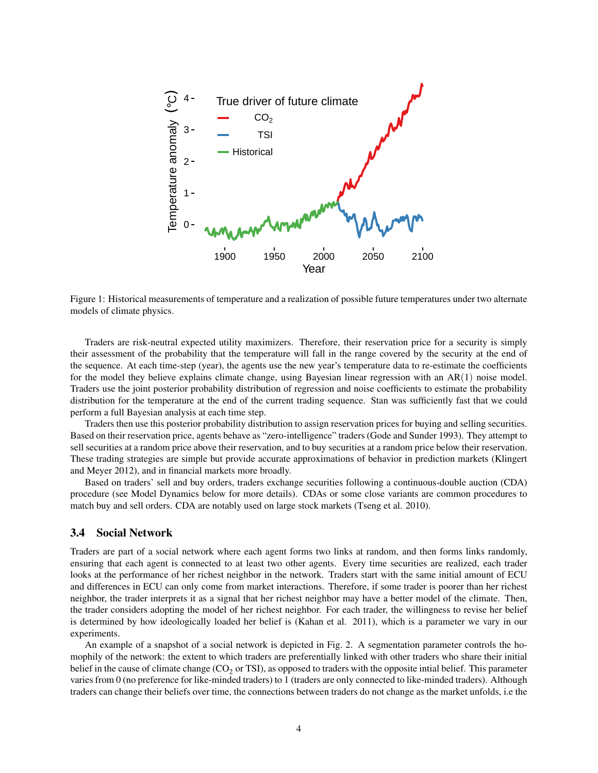

<span id="page-3-0"></span>Figure 1: Historical measurements of temperature and a realization of possible future temperatures under two alternate models of climate physics.

Traders are risk-neutral expected utility maximizers. Therefore, their reservation price for a security is simply their assessment of the probability that the temperature will fall in the range covered by the security at the end of the sequence. At each time-step (year), the agents use the new year's temperature data to re-estimate the coefficients for the model they believe explains climate change, using Bayesian linear regression with an AR(1) noise model. Traders use the joint posterior probability distribution of regression and noise coefficients to estimate the probability distribution for the temperature at the end of the current trading sequence. Stan was sufficiently fast that we could perform a full Bayesian analysis at each time step.

Traders then use this posterior probability distribution to assign reservation prices for buying and selling securities. Based on their reservation price, agents behave as "zero-intelligence" traders [\(Gode and Sunder 1993\)](#page-9-16). They attempt to sell securities at a random price above their reservation, and to buy securities at a random price below their reservation. These trading strategies are simple but provide accurate approximations of behavior in prediction markets [\(Klingert](#page-10-3) [and Meyer 2012\)](#page-10-3), and in financial markets more broadly.

Based on traders' sell and buy orders, traders exchange securities following a continuous-double auction (CDA) procedure (see Model Dynamics below for more details). CDAs or some close variants are common procedures to match buy and sell orders. CDA are notably used on large stock markets [\(Tseng et al. 2010\)](#page-10-6).

#### 3.4 Social Network

Traders are part of a social network where each agent forms two links at random, and then forms links randomly, ensuring that each agent is connected to at least two other agents. Every time securities are realized, each trader looks at the performance of her richest neighbor in the network. Traders start with the same initial amount of ECU and differences in ECU can only come from market interactions. Therefore, if some trader is poorer than her richest neighbor, the trader interprets it as a signal that her richest neighbor may have a better model of the climate. Then, the trader considers adopting the model of her richest neighbor. For each trader, the willingness to revise her belief is determined by how ideologically loaded her belief is [\(Kahan et al. 2011\)](#page-10-1), which is a parameter we vary in our experiments.

An example of a snapshot of a social network is depicted in Fig. [2.](#page-4-0) A segmentation parameter controls the homophily of the network: the extent to which traders are preferentially linked with other traders who share their initial belief in the cause of climate change (CO<sub>2</sub> or TSI), as opposed to traders with the opposite intial belief. This parameter varies from 0 (no preference for like-minded traders) to 1 (traders are only connected to like-minded traders). Although traders can change their beliefs over time, the connections between traders do not change as the market unfolds, i.e the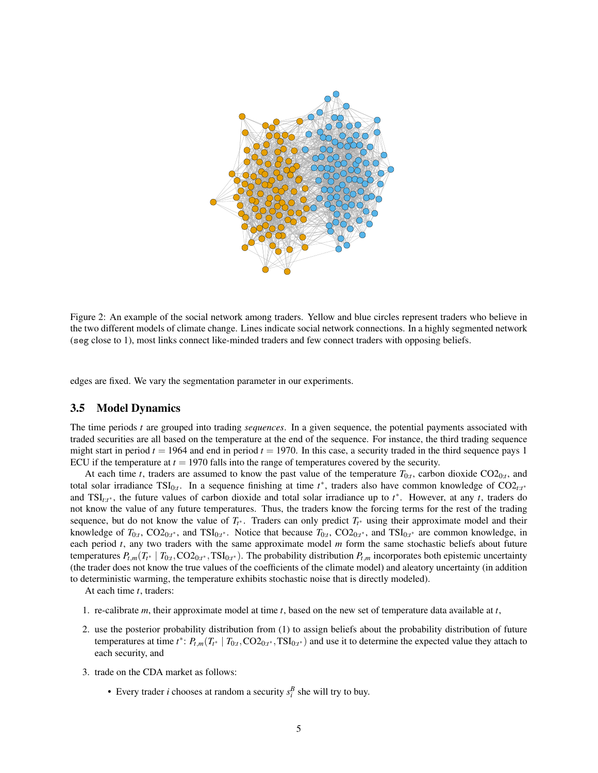

<span id="page-4-0"></span>Figure 2: An example of the social network among traders. Yellow and blue circles represent traders who believe in the two different models of climate change. Lines indicate social network connections. In a highly segmented network (seg close to 1), most links connect like-minded traders and few connect traders with opposing beliefs.

edges are fixed. We vary the segmentation parameter in our experiments.

#### 3.5 Model Dynamics

The time periods *t* are grouped into trading *sequences*. In a given sequence, the potential payments associated with traded securities are all based on the temperature at the end of the sequence. For instance, the third trading sequence might start in period  $t = 1964$  and end in period  $t = 1970$ . In this case, a security traded in the third sequence pays 1 ECU if the temperature at  $t = 1970$  falls into the range of temperatures covered by the security.

At each time *t*, traders are assumed to know the past value of the temperature  $T_{0:t}$ , carbon dioxide  $CO2_{0:t}$ , and total solar irradiance  $TSI_{0:t}$ . In a sequence finishing at time  $t^*$ , traders also have common knowledge of  $CO2_{t:t^*}$ and  $TSI_{t:t^*}$ , the future values of carbon dioxide and total solar irradiance up to  $t^*$ . However, at any *t*, traders do not know the value of any future temperatures. Thus, the traders know the forcing terms for the rest of the trading sequence, but do not know the value of  $T_{t^*}$ . Traders can only predict  $T_{t^*}$  using their approximate model and their knowledge of  $T_{0:t}$ , CO2<sub>0:*t*\*</sub>, and TSI<sub>0:*t*\*</sub>. Notice that because  $T_{0:t}$ , CO2<sub>0:*t*\*</sub>, and TSI<sub>0:*t*\*</sub> are common knowledge, in each period *t*, any two traders with the same approximate model *m* form the same stochastic beliefs about future temperatures  $P_{t,m}(T_{t^*} | T_{0:t}, \text{CO2}_{0:t^*}, \text{TSI}_{0:t^*})$ . The probability distribution  $P_{t,m}$  incorporates both epistemic uncertainty (the trader does not know the true values of the coefficients of the climate model) and aleatory uncertainty (in addition to deterministic warming, the temperature exhibits stochastic noise that is directly modeled).

At each time *t*, traders:

- <span id="page-4-1"></span>1. re-calibrate *m*, their approximate model at time *t*, based on the new set of temperature data available at *t*,
- 2. use the posterior probability distribution from [\(1\)](#page-4-1) to assign beliefs about the probability distribution of future temperatures at time  $t^*$ :  $P_{t,m}(T_{t^*} | T_{0:t}, \text{CO2}_{0:t^*}, \text{TSI}_{0:t^*})$  and use it to determine the expected value they attach to each security, and
- 3. trade on the CDA market as follows:
	- Every trader *i* chooses at random a security  $s_i^B$  she will try to buy.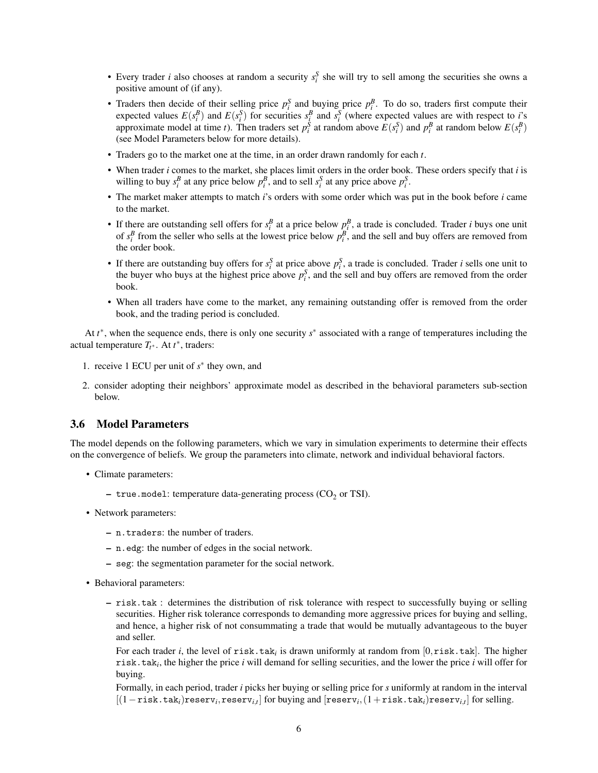- Every trader *i* also chooses at random a security  $s_i^S$  she will try to sell among the securities she owns a positive amount of (if any).
- Traders then decide of their selling price  $p_i^S$  and buying price  $p_i^B$ . To do so, traders first compute their expected values  $E(s_i^B)$  and  $E(s_i^S)$  for securities  $s_i^B$  and  $s_i^S$  (where expected values are with respect to *i*'s approximate model at time *t*). Then traders set  $p_i^S$  at random above  $E(s_i^S)$  and  $p_i^B$  at random below  $E(s_i^B)$ (see Model Parameters below for more details).
- Traders go to the market one at the time, in an order drawn randomly for each *t*.
- When trader *i* comes to the market, she places limit orders in the order book. These orders specify that *i* is willing to buy  $s_i^B$  at any price below  $p_i^B$ , and to sell  $s_i^S$  at any price above  $p_i^S$ .
- The market maker attempts to match *i*'s orders with some order which was put in the book before *i* came to the market.
- If there are outstanding sell offers for  $s_i^B$  at a price below  $p_i^B$ , a trade is concluded. Trader *i* buys one unit of  $s_i^B$  from the seller who sells at the lowest price below  $p_i^B$ , and the sell and buy offers are removed from the order book.
- If there are outstanding buy offers for  $s_i^S$  at price above  $p_i^S$ , a trade is concluded. Trader *i* sells one unit to the buyer who buys at the highest price above  $p_i^S$ , and the sell and buy offers are removed from the order book.
- When all traders have come to the market, any remaining outstanding offer is removed from the order book, and the trading period is concluded.

At  $t^*$ , when the sequence ends, there is only one security  $s^*$  associated with a range of temperatures including the actual temperature  $T_{t^*}$ . At  $t^*$ , traders:

- 1. receive 1 ECU per unit of  $s^*$  they own, and
- 2. consider adopting their neighbors' approximate model as described in the behavioral parameters sub-section below.

### 3.6 Model Parameters

The model depends on the following parameters, which we vary in simulation experiments to determine their effects on the convergence of beliefs. We group the parameters into climate, network and individual behavioral factors.

- Climate parameters:
	- true.model: temperature data-generating process ( $\text{CO}_2$  or TSI).
- Network parameters:
	- n.traders: the number of traders.
	- n.edg: the number of edges in the social network.
	- seg: the segmentation parameter for the social network.
- Behavioral parameters:
	- risk.tak : determines the distribution of risk tolerance with respect to successfully buying or selling securities. Higher risk tolerance corresponds to demanding more aggressive prices for buying and selling, and hence, a higher risk of not consummating a trade that would be mutually advantageous to the buyer and seller.

For each trader *i*, the level of risk.tak*<sup>i</sup>* is drawn uniformly at random from [0,risk.tak]. The higher risk.tak*i* , the higher the price *i* will demand for selling securities, and the lower the price *i* will offer for buying.

Formally, in each period, trader *i* picks her buying or selling price for *s* uniformly at random in the interval  $[(1-risk.tak<sub>i</sub>)reserv<sub>i</sub>,reserv<sub>i,t</sub>]$  for buying and  $[reserv<sub>i</sub>, (1+risk.tak<sub>i</sub>)reserv<sub>i,t</sub>]$  for selling.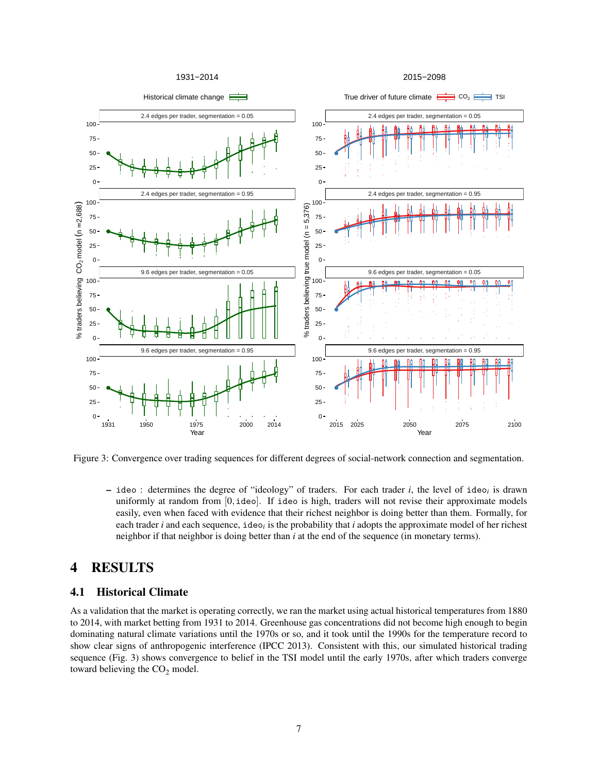

2015−2098



Figure 3: Convergence over trading sequences for different degrees of social-network connection and segmentation.

<span id="page-6-0"></span>– ideo : determines the degree of "ideology" of traders. For each trader *i*, the level of ideo*<sup>i</sup>* is drawn uniformly at random from  $[0, \text{idea}]$ . If  $\text{idea}$  is high, traders will not revise their approximate models easily, even when faced with evidence that their richest neighbor is doing better than them. Formally, for each trader *i* and each sequence, ideo<sub>*i*</sub> is the probability that *i* adopts the approximate model of her richest neighbor if that neighbor is doing better than *i* at the end of the sequence (in monetary terms).

### 4 RESULTS

#### 4.1 Historical Climate

As a validation that the market is operating correctly, we ran the market using actual historical temperatures from 1880 to 2014, with market betting from 1931 to 2014. Greenhouse gas concentrations did not become high enough to begin dominating natural climate variations until the 1970s or so, and it took until the 1990s for the temperature record to show clear signs of anthropogenic interference [\(IPCC 2013\)](#page-9-13). Consistent with this, our simulated historical trading sequence (Fig. [3\)](#page-6-0) shows convergence to belief in the TSI model until the early 1970s, after which traders converge toward believing the  $CO<sub>2</sub>$  model.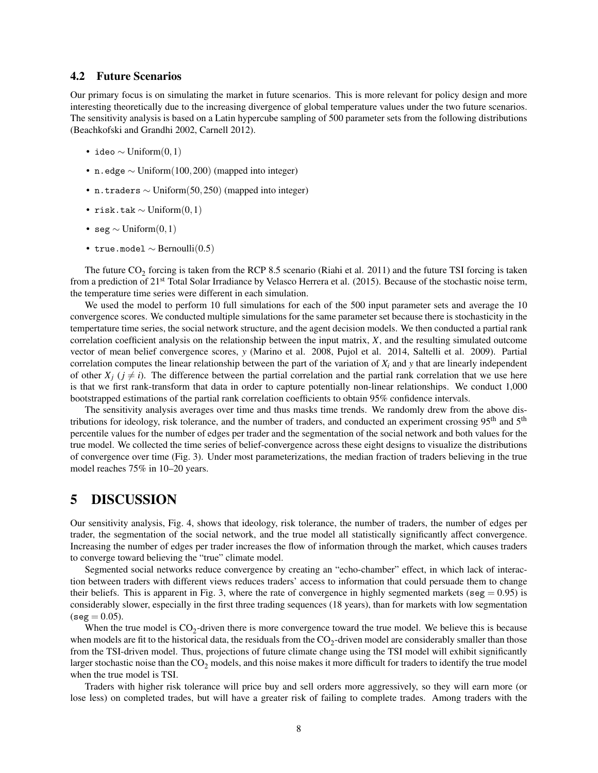#### 4.2 Future Scenarios

Our primary focus is on simulating the market in future scenarios. This is more relevant for policy design and more interesting theoretically due to the increasing divergence of global temperature values under the two future scenarios. The sensitivity analysis is based on a Latin hypercube sampling of 500 parameter sets from the following distributions [\(Beachkofski and Grandhi 2002,](#page-9-17) [Carnell 2012\)](#page-9-18).

- ideo  $\sim$  Uniform $(0,1)$
- n.edge  $\sim$  Uniform(100,200) (mapped into integer)
- n.traders  $\sim$  Uniform(50,250) (mapped into integer)
- risk.tak  $\sim$  Uniform $(0,1)$
- seg  $\sim$  Uniform $(0,1)$
- true.model  $\sim$  Bernoulli $(0.5)$

The future  $CO_2$  forcing is taken from the RCP 8.5 scenario [\(Riahi et al. 2011\)](#page-10-10) and the future TSI forcing is taken from a prediction of 21<sup>st</sup> Total Solar Irradiance by [Velasco Herrera et al. \(2015\).](#page-10-11) Because of the stochastic noise term, the temperature time series were different in each simulation.

We used the model to perform 10 full simulations for each of the 500 input parameter sets and average the 10 convergence scores. We conducted multiple simulations for the same parameter set because there is stochasticity in the tempertature time series, the social network structure, and the agent decision models. We then conducted a partial rank correlation coefficient analysis on the relationship between the input matrix, *X*, and the resulting simulated outcome vector of mean belief convergence scores, *y* [\(Marino et al. 2008,](#page-10-13) [Pujol et al. 2014,](#page-10-14) [Saltelli et al. 2009\)](#page-10-15). Partial correlation computes the linear relationship between the part of the variation of  $X_i$  and  $y$  that are linearly independent of other  $X_i$  ( $j \neq i$ ). The difference between the partial correlation and the partial rank correlation that we use here is that we first rank-transform that data in order to capture potentially non-linear relationships. We conduct 1,000 bootstrapped estimations of the partial rank correlation coefficients to obtain 95% confidence intervals.

The sensitivity analysis averages over time and thus masks time trends. We randomly drew from the above distributions for ideology, risk tolerance, and the number of traders, and conducted an experiment crossing 95<sup>th</sup> and 5<sup>th</sup> percentile values for the number of edges per trader and the segmentation of the social network and both values for the true model. We collected the time series of belief-convergence across these eight designs to visualize the distributions of convergence over time (Fig. [3\)](#page-6-0). Under most parameterizations, the median fraction of traders believing in the true model reaches 75% in 10–20 years.

# 5 DISCUSSION

Our sensitivity analysis, Fig. [4,](#page-8-0) shows that ideology, risk tolerance, the number of traders, the number of edges per trader, the segmentation of the social network, and the true model all statistically significantly affect convergence. Increasing the number of edges per trader increases the flow of information through the market, which causes traders to converge toward believing the "true" climate model.

Segmented social networks reduce convergence by creating an "echo-chamber" effect, in which lack of interaction between traders with different views reduces traders' access to information that could persuade them to change their beliefs. This is apparent in Fig. [3,](#page-6-0) where the rate of convergence in highly segmented markets (seg  $= 0.95$ ) is considerably slower, especially in the first three trading sequences (18 years), than for markets with low segmentation  $(\text{seg} = 0.05)$ .

When the true model is  $CO_2$ -driven there is more convergence toward the true model. We believe this is because when models are fit to the historical data, the residuals from the  $CO_2$ -driven model are considerably smaller than those from the TSI-driven model. Thus, projections of future climate change using the TSI model will exhibit significantly larger stochastic noise than the  $CO<sub>2</sub>$  models, and this noise makes it more difficult for traders to identify the true model when the true model is TSI.

Traders with higher risk tolerance will price buy and sell orders more aggressively, so they will earn more (or lose less) on completed trades, but will have a greater risk of failing to complete trades. Among traders with the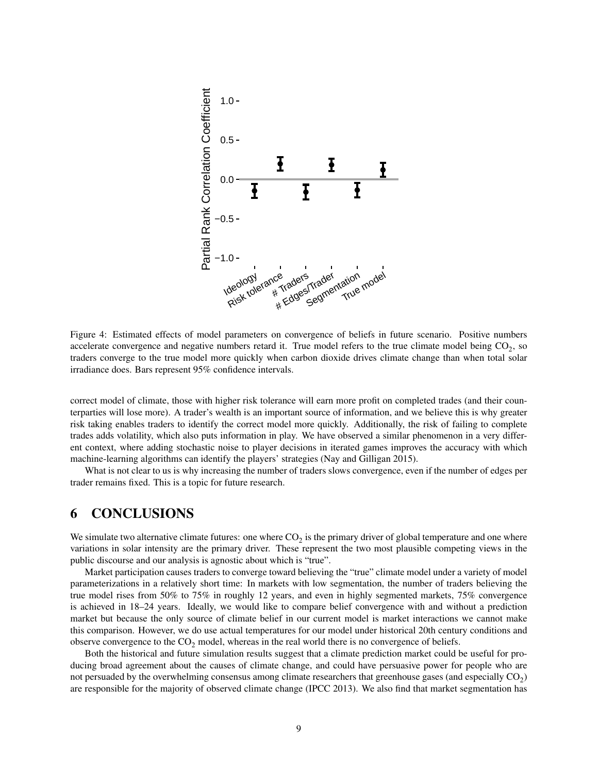

<span id="page-8-0"></span>Figure 4: Estimated effects of model parameters on convergence of beliefs in future scenario. Positive numbers accelerate convergence and negative numbers retard it. True model refers to the true climate model being  $CO_2$ , so traders converge to the true model more quickly when carbon dioxide drives climate change than when total solar irradiance does. Bars represent 95% confidence intervals.

correct model of climate, those with higher risk tolerance will earn more profit on completed trades (and their counterparties will lose more). A trader's wealth is an important source of information, and we believe this is why greater risk taking enables traders to identify the correct model more quickly. Additionally, the risk of failing to complete trades adds volatility, which also puts information in play. We have observed a similar phenomenon in a very different context, where adding stochastic noise to player decisions in iterated games improves the accuracy with which machine-learning algorithms can identify the players' strategies [\(Nay and Gilligan 2015\)](#page-10-16).

What is not clear to us is why increasing the number of traders slows convergence, even if the number of edges per trader remains fixed. This is a topic for future research.

# 6 CONCLUSIONS

We simulate two alternative climate futures: one where  $CO_2$  is the primary driver of global temperature and one where variations in solar intensity are the primary driver. These represent the two most plausible competing views in the public discourse and our analysis is agnostic about which is "true".

Market participation causes traders to converge toward believing the "true" climate model under a variety of model parameterizations in a relatively short time: In markets with low segmentation, the number of traders believing the true model rises from 50% to 75% in roughly 12 years, and even in highly segmented markets, 75% convergence is achieved in 18–24 years. Ideally, we would like to compare belief convergence with and without a prediction market but because the only source of climate belief in our current model is market interactions we cannot make this comparison. However, we do use actual temperatures for our model under historical 20th century conditions and observe convergence to the  $CO<sub>2</sub>$  model, whereas in the real world there is no convergence of beliefs.

Both the historical and future simulation results suggest that a climate prediction market could be useful for producing broad agreement about the causes of climate change, and could have persuasive power for people who are not persuaded by the overwhelming consensus among climate researchers that greenhouse gases (and especially  $CO_2$ ) are responsible for the majority of observed climate change [\(IPCC 2013\)](#page-9-13). We also find that market segmentation has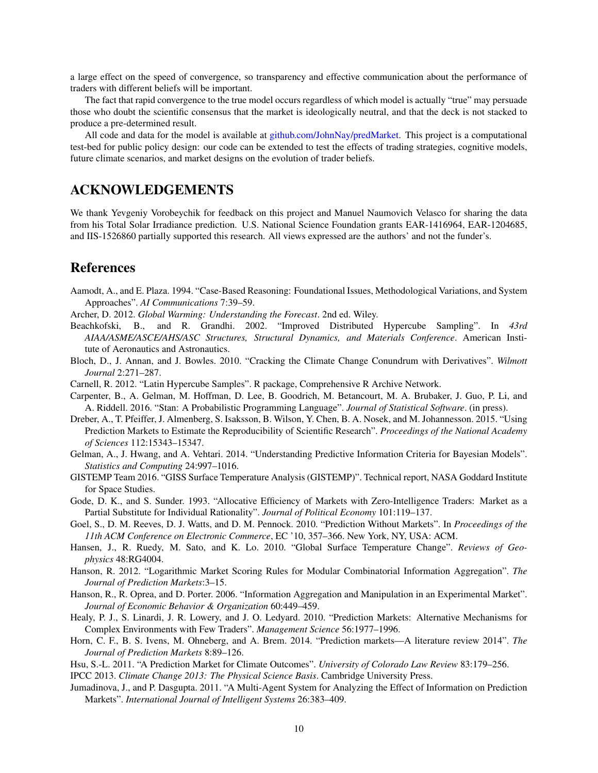a large effect on the speed of convergence, so transparency and effective communication about the performance of traders with different beliefs will be important.

The fact that rapid convergence to the true model occurs regardless of which model is actually "true" may persuade those who doubt the scientific consensus that the market is ideologically neutral, and that the deck is not stacked to produce a pre-determined result.

All code and data for the model is available at [github.com/JohnNay/predMarket.](https://github.com/JohnNay/predMarket) This project is a computational test-bed for public policy design: our code can be extended to test the effects of trading strategies, cognitive models, future climate scenarios, and market designs on the evolution of trader beliefs.

# ACKNOWLEDGEMENTS

We thank Yevgeniy Vorobeychik for feedback on this project and Manuel Naumovich Velasco for sharing the data from his Total Solar Irradiance prediction. U.S. National Science Foundation grants EAR-1416964, EAR-1204685, and IIS-1526860 partially supported this research. All views expressed are the authors' and not the funder's.

# References

- <span id="page-9-9"></span>Aamodt, A., and E. Plaza. 1994. "Case-Based Reasoning: Foundational Issues, Methodological Variations, and System Approaches". *AI Communications* 7:39–59.
- <span id="page-9-12"></span>Archer, D. 2012. *Global Warming: Understanding the Forecast*. 2nd ed. Wiley.
- <span id="page-9-17"></span>Beachkofski, B., and R. Grandhi. 2002. "Improved Distributed Hypercube Sampling". In *43rd AIAA/ASME/ASCE/AHS/ASC Structures, Structural Dynamics, and Materials Conference*. American Institute of Aeronautics and Astronautics.
- <span id="page-9-7"></span>Bloch, D., J. Annan, and J. Bowles. 2010. "Cracking the Climate Change Conundrum with Derivatives". *Wilmott Journal* 2:271–287.
- <span id="page-9-18"></span>Carnell, R. 2012. "Latin Hypercube Samples". R package, Comprehensive R Archive Network.
- <span id="page-9-14"></span>Carpenter, B., A. Gelman, M. Hoffman, D. Lee, B. Goodrich, M. Betancourt, M. A. Brubaker, J. Guo, P. Li, and A. Riddell. 2016. "Stan: A Probabilistic Programming Language". *Journal of Statistical Software*. (in press).
- <span id="page-9-6"></span>Dreber, A., T. Pfeiffer, J. Almenberg, S. Isaksson, B. Wilson, Y. Chen, B. A. Nosek, and M. Johannesson. 2015. "Using Prediction Markets to Estimate the Reproducibility of Scientific Research". *Proceedings of the National Academy of Sciences* 112:15343–15347.
- <span id="page-9-15"></span>Gelman, A., J. Hwang, and A. Vehtari. 2014. "Understanding Predictive Information Criteria for Bayesian Models". *Statistics and Computing* 24:997–1016.
- <span id="page-9-10"></span>GISTEMP Team 2016. "GISS Surface Temperature Analysis (GISTEMP)". Technical report, NASA Goddard Institute for Space Studies.
- <span id="page-9-16"></span>Gode, D. K., and S. Sunder. 1993. "Allocative Efficiency of Markets with Zero-Intelligence Traders: Market as a Partial Substitute for Individual Rationality". *Journal of Political Economy* 101:119–137.
- <span id="page-9-8"></span>Goel, S., D. M. Reeves, D. J. Watts, and D. M. Pennock. 2010. "Prediction Without Markets". In *Proceedings of the 11th ACM Conference on Electronic Commerce*, EC '10, 357–366. New York, NY, USA: ACM.
- <span id="page-9-11"></span>Hansen, J., R. Ruedy, M. Sato, and K. Lo. 2010. "Global Surface Temperature Change". *Reviews of Geophysics* 48:RG4004.
- <span id="page-9-2"></span>Hanson, R. 2012. "Logarithmic Market Scoring Rules for Modular Combinatorial Information Aggregation". *The Journal of Prediction Markets*:3–15.
- <span id="page-9-3"></span>Hanson, R., R. Oprea, and D. Porter. 2006. "Information Aggregation and Manipulation in an Experimental Market". *Journal of Economic Behavior & Organization* 60:449–459.
- <span id="page-9-4"></span>Healy, P. J., S. Linardi, J. R. Lowery, and J. O. Ledyard. 2010. "Prediction Markets: Alternative Mechanisms for Complex Environments with Few Traders". *Management Science* 56:1977–1996.
- <span id="page-9-1"></span>Horn, C. F., B. S. Ivens, M. Ohneberg, and A. Brem. 2014. "Prediction markets—A literature review 2014". *The Journal of Prediction Markets* 8:89–126.
- <span id="page-9-0"></span>Hsu, S.-L. 2011. "A Prediction Market for Climate Outcomes". *University of Colorado Law Review* 83:179–256.

<span id="page-9-13"></span>IPCC 2013. *Climate Change 2013: The Physical Science Basis*. Cambridge University Press.

<span id="page-9-5"></span>Jumadinova, J., and P. Dasgupta. 2011. "A Multi-Agent System for Analyzing the Effect of Information on Prediction Markets". *International Journal of Intelligent Systems* 26:383–409.